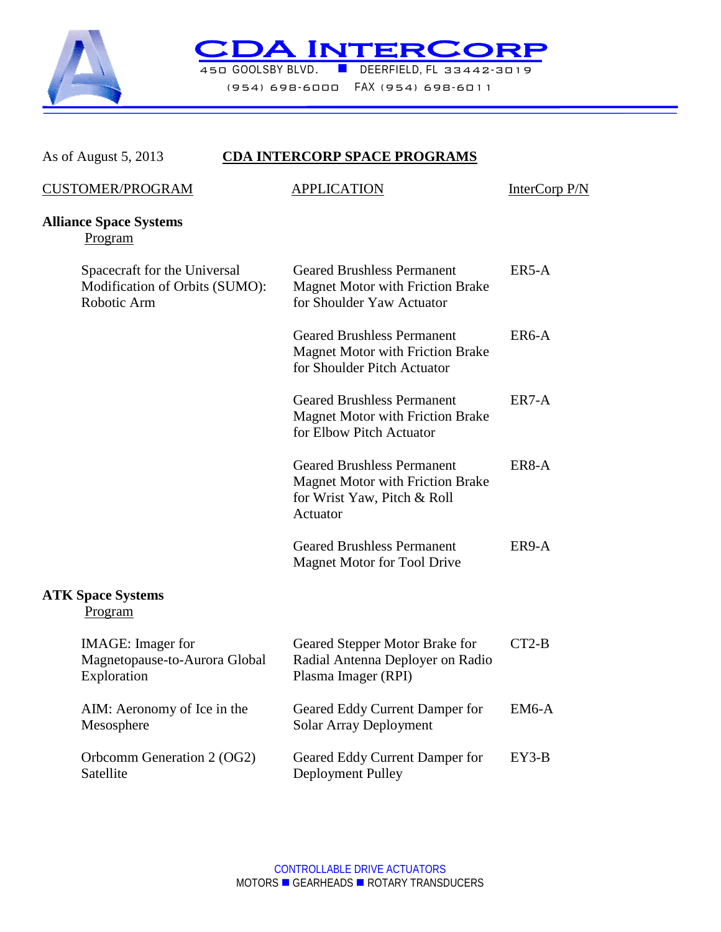

**CDAINTERCORP** 

(954) 698-6000 FAX (954) 698-6011

| As of August 5, 2013                                                          | <b>CDA INTERCORP SPACE PROGRAMS</b>                                                                                     |               |
|-------------------------------------------------------------------------------|-------------------------------------------------------------------------------------------------------------------------|---------------|
| <b>CUSTOMER/PROGRAM</b>                                                       | <b>APPLICATION</b>                                                                                                      | InterCorp P/N |
| <b>Alliance Space Systems</b><br>Program                                      |                                                                                                                         |               |
| Spacecraft for the Universal<br>Modification of Orbits (SUMO):<br>Robotic Arm | <b>Geared Brushless Permanent</b><br><b>Magnet Motor with Friction Brake</b><br>for Shoulder Yaw Actuator               | ER5-A         |
|                                                                               | <b>Geared Brushless Permanent</b><br><b>Magnet Motor with Friction Brake</b><br>for Shoulder Pitch Actuator             | ER6-A         |
|                                                                               | <b>Geared Brushless Permanent</b><br><b>Magnet Motor with Friction Brake</b><br>for Elbow Pitch Actuator                | ER7-A         |
|                                                                               | <b>Geared Brushless Permanent</b><br><b>Magnet Motor with Friction Brake</b><br>for Wrist Yaw, Pitch & Roll<br>Actuator | ER8-A         |
|                                                                               | <b>Geared Brushless Permanent</b><br><b>Magnet Motor for Tool Drive</b>                                                 | ER9-A         |
| <b>ATK Space Systems</b><br>Program                                           |                                                                                                                         |               |
| <b>IMAGE</b> : Imager for<br>Magnetopause-to-Aurora Global<br>Exploration     | Geared Stepper Motor Brake for<br>Radial Antenna Deployer on Radio<br>Plasma Imager (RPI)                               | $CT2-B$       |
| AIM: Aeronomy of Ice in the<br>Mesosphere                                     | Geared Eddy Current Damper for<br>Solar Array Deployment                                                                | $EM6-A$       |
| Orbcomm Generation 2 (OG2)<br>Satellite                                       | Geared Eddy Current Damper for<br>Deployment Pulley                                                                     | $EY3-B$       |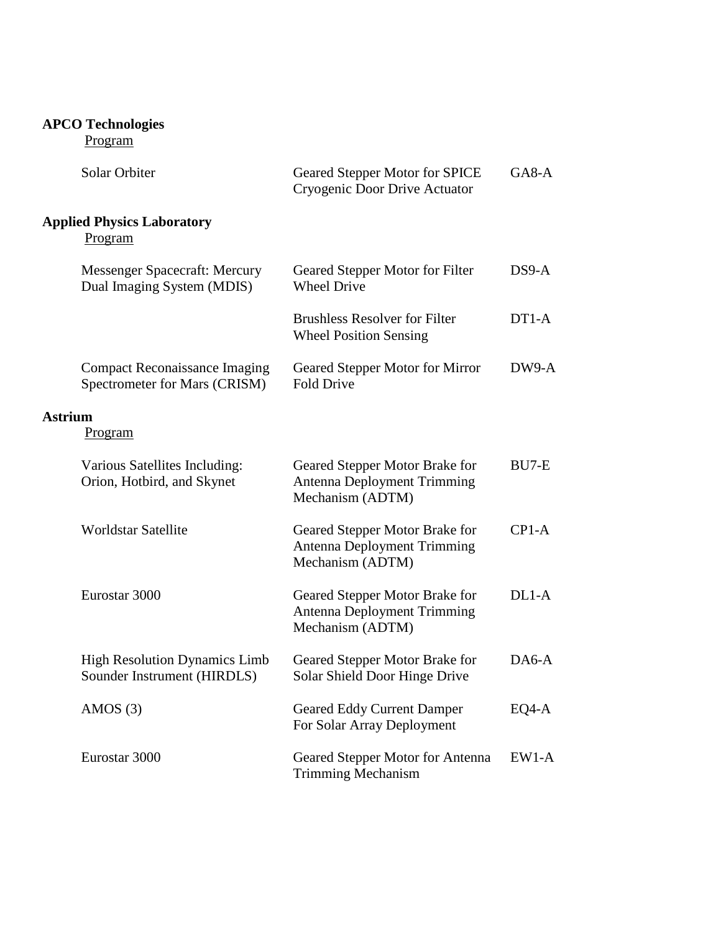| <b>APCO Technologies</b><br>Program                                   |                                                                                          |              |
|-----------------------------------------------------------------------|------------------------------------------------------------------------------------------|--------------|
| Solar Orbiter                                                         | <b>Geared Stepper Motor for SPICE</b><br>Cryogenic Door Drive Actuator                   | $G$ A $8$ -A |
| <b>Applied Physics Laboratory</b><br>Program                          |                                                                                          |              |
| <b>Messenger Spacecraft: Mercury</b><br>Dual Imaging System (MDIS)    | Geared Stepper Motor for Filter<br><b>Wheel Drive</b>                                    | $DS9-A$      |
|                                                                       | <b>Brushless Resolver for Filter</b><br><b>Wheel Position Sensing</b>                    | $DT1-A$      |
| <b>Compact Reconaissance Imaging</b><br>Spectrometer for Mars (CRISM) | Geared Stepper Motor for Mirror<br><b>Fold Drive</b>                                     | DW9-A        |
| Astrium<br><b>Program</b>                                             |                                                                                          |              |
| Various Satellites Including:<br>Orion, Hotbird, and Skynet           | Geared Stepper Motor Brake for<br><b>Antenna Deployment Trimming</b><br>Mechanism (ADTM) | BU7-E        |
| <b>Worldstar Satellite</b>                                            | Geared Stepper Motor Brake for<br><b>Antenna Deployment Trimming</b><br>Mechanism (ADTM) | $CP1-A$      |
| Eurostar 3000                                                         | Geared Stepper Motor Brake for<br><b>Antenna Deployment Trimming</b><br>Mechanism (ADTM) | $DL1-A$      |
| <b>High Resolution Dynamics Limb</b><br>Sounder Instrument (HIRDLS)   | Geared Stepper Motor Brake for<br>Solar Shield Door Hinge Drive                          | $DA6-A$      |
| AMOS $(3)$                                                            | <b>Geared Eddy Current Damper</b><br>For Solar Array Deployment                          | $EQ4-A$      |
| Eurostar 3000                                                         | Geared Stepper Motor for Antenna<br><b>Trimming Mechanism</b>                            | $EW1-A$      |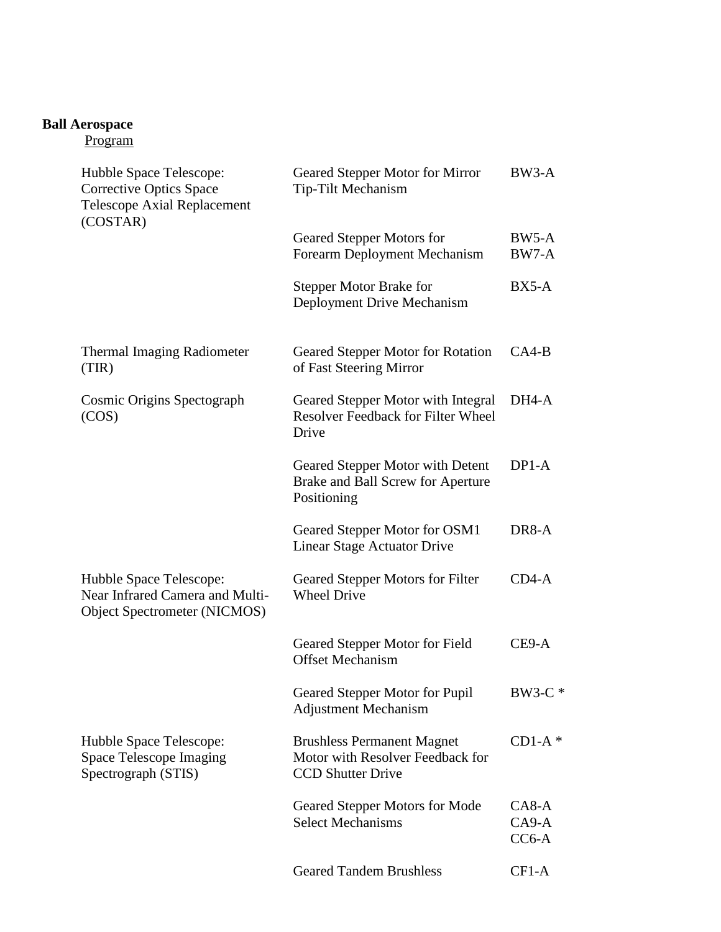#### **Ball Aerospace**

| Hubble Space Telescope:<br><b>Corrective Optics Space</b><br><b>Telescope Axial Replacement</b> | Geared Stepper Motor for Mirror<br>Tip-Tilt Mechanism                                             | BW3-A                         |
|-------------------------------------------------------------------------------------------------|---------------------------------------------------------------------------------------------------|-------------------------------|
| (COSTAR)                                                                                        | Geared Stepper Motors for<br>Forearm Deployment Mechanism                                         | BW5-A<br>BW7-A                |
|                                                                                                 | <b>Stepper Motor Brake for</b><br>Deployment Drive Mechanism                                      | $BX5-A$                       |
| <b>Thermal Imaging Radiometer</b><br>(TIR)                                                      | Geared Stepper Motor for Rotation<br>of Fast Steering Mirror                                      | $CA4-B$                       |
| Cosmic Origins Spectograph<br>(COS)                                                             | Geared Stepper Motor with Integral<br><b>Resolver Feedback for Filter Wheel</b><br>Drive          | DH4-A                         |
|                                                                                                 | Geared Stepper Motor with Detent<br>Brake and Ball Screw for Aperture<br>Positioning              | $DP1-A$                       |
|                                                                                                 | Geared Stepper Motor for OSM1<br>Linear Stage Actuator Drive                                      | DR8-A                         |
| Hubble Space Telescope:<br>Near Infrared Camera and Multi-<br>Object Spectrometer (NICMOS)      | Geared Stepper Motors for Filter<br><b>Wheel Drive</b>                                            | $CD4-A$                       |
|                                                                                                 | Geared Stepper Motor for Field<br><b>Offset Mechanism</b>                                         | CE9-A                         |
|                                                                                                 | Geared Stepper Motor for Pupil<br><b>Adjustment Mechanism</b>                                     | BW3-C *                       |
| Hubble Space Telescope:<br>Space Telescope Imaging<br>Spectrograph (STIS)                       | <b>Brushless Permanent Magnet</b><br>Motor with Resolver Feedback for<br><b>CCD Shutter Drive</b> | $CD1-A$ *                     |
|                                                                                                 | Geared Stepper Motors for Mode<br><b>Select Mechanisms</b>                                        | $CA8-A$<br>$CA9-A$<br>$CC6-A$ |
|                                                                                                 | <b>Geared Tandem Brushless</b>                                                                    | $CF1-A$                       |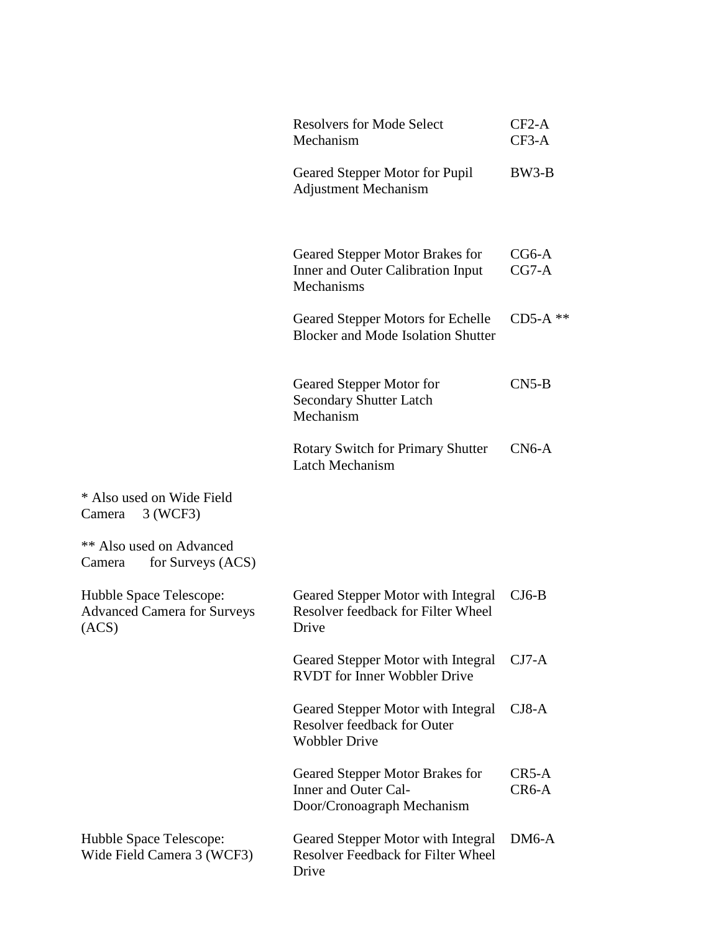|                                                                        | <b>Resolvers for Mode Select</b><br>Mechanism                                             | $CF2-A$<br>$CF3-A$ |
|------------------------------------------------------------------------|-------------------------------------------------------------------------------------------|--------------------|
|                                                                        | Geared Stepper Motor for Pupil<br><b>Adjustment Mechanism</b>                             | BW3-B              |
|                                                                        | Geared Stepper Motor Brakes for<br>Inner and Outer Calibration Input<br>Mechanisms        | $CG6-A$<br>$CG7-A$ |
|                                                                        | Geared Stepper Motors for Echelle<br><b>Blocker and Mode Isolation Shutter</b>            | $CD5-A$ **         |
|                                                                        | Geared Stepper Motor for<br><b>Secondary Shutter Latch</b><br>Mechanism                   | $CN5-B$            |
|                                                                        | <b>Rotary Switch for Primary Shutter</b><br>Latch Mechanism                               | $CN6-A$            |
| * Also used on Wide Field<br>3 (WCF3)<br>Camera                        |                                                                                           |                    |
| <b>** Also used on Advanced</b><br>for Surveys (ACS)<br>Camera         |                                                                                           |                    |
| Hubble Space Telescope:<br><b>Advanced Camera for Surveys</b><br>(ACS) | Geared Stepper Motor with Integral<br>Resolver feedback for Filter Wheel<br>Drive         | $CJ6-B$            |
|                                                                        | Geared Stepper Motor with Integral<br><b>RVDT</b> for Inner Wobbler Drive                 | $CJ7-A$            |
|                                                                        | Geared Stepper Motor with Integral<br>Resolver feedback for Outer<br><b>Wobbler Drive</b> | $CJ8-A$            |
|                                                                        | Geared Stepper Motor Brakes for<br>Inner and Outer Cal-<br>Door/Cronoagraph Mechanism     | $CR5-A$<br>$CR6-A$ |
| Hubble Space Telescope:<br>Wide Field Camera 3 (WCF3)                  | Geared Stepper Motor with Integral<br><b>Resolver Feedback for Filter Wheel</b><br>Drive  | $DM6-A$            |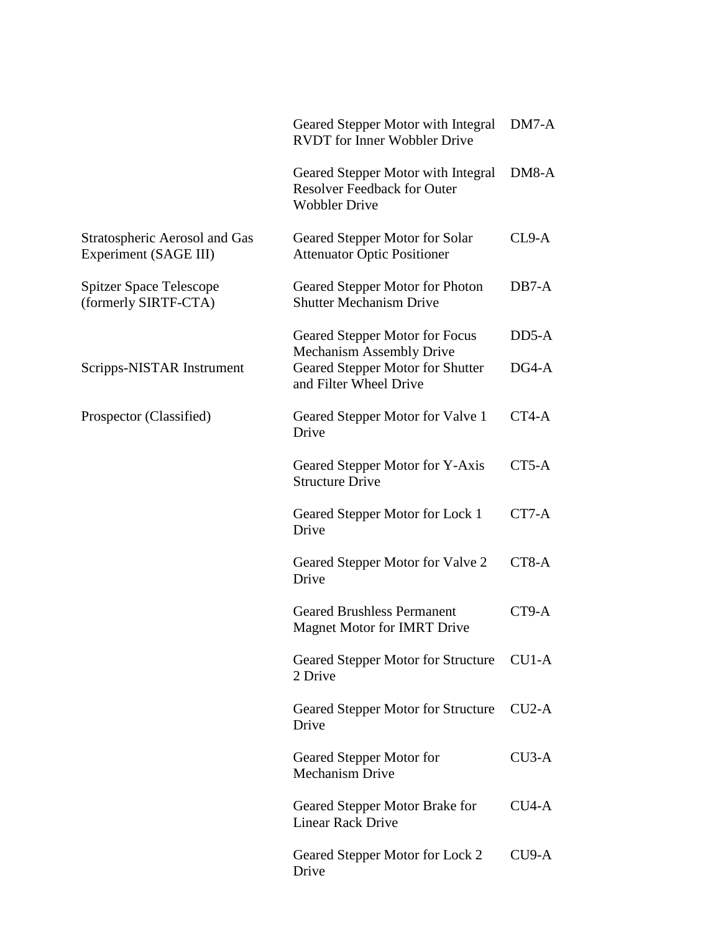|                                                        | Geared Stepper Motor with Integral<br><b>RVDT</b> for Inner Wobbler Drive                        | $DM7-A$ |
|--------------------------------------------------------|--------------------------------------------------------------------------------------------------|---------|
|                                                        | Geared Stepper Motor with Integral<br><b>Resolver Feedback for Outer</b><br><b>Wobbler Drive</b> | DM8-A   |
| Stratospheric Aerosol and Gas<br>Experiment (SAGE III) | Geared Stepper Motor for Solar<br><b>Attenuator Optic Positioner</b>                             | $CL9-A$ |
| <b>Spitzer Space Telescope</b><br>(formerly SIRTF-CTA) | Geared Stepper Motor for Photon<br><b>Shutter Mechanism Drive</b>                                | $DB7-A$ |
|                                                        | Geared Stepper Motor for Focus<br><b>Mechanism Assembly Drive</b>                                | $DD5-A$ |
| Scripps-NISTAR Instrument                              | Geared Stepper Motor for Shutter<br>and Filter Wheel Drive                                       | $DG4-A$ |
| Prospector (Classified)                                | Geared Stepper Motor for Valve 1<br>Drive                                                        | CT4-A   |
|                                                        | Geared Stepper Motor for Y-Axis<br><b>Structure Drive</b>                                        | $CT5-A$ |
|                                                        | Geared Stepper Motor for Lock 1<br>Drive                                                         | CT7-A   |
|                                                        | Geared Stepper Motor for Valve 2<br>Drive                                                        | CT8-A   |
|                                                        | <b>Geared Brushless Permanent</b><br><b>Magnet Motor for IMRT Drive</b>                          | CT9-A   |
|                                                        | Geared Stepper Motor for Structure<br>2 Drive                                                    | $CU1-A$ |
|                                                        | Geared Stepper Motor for Structure<br>Drive                                                      | $CU2-A$ |
|                                                        | Geared Stepper Motor for<br><b>Mechanism Drive</b>                                               | $CU3-A$ |
|                                                        | Geared Stepper Motor Brake for<br><b>Linear Rack Drive</b>                                       | $CU4-A$ |
|                                                        | Geared Stepper Motor for Lock 2<br>Drive                                                         | $CU9-A$ |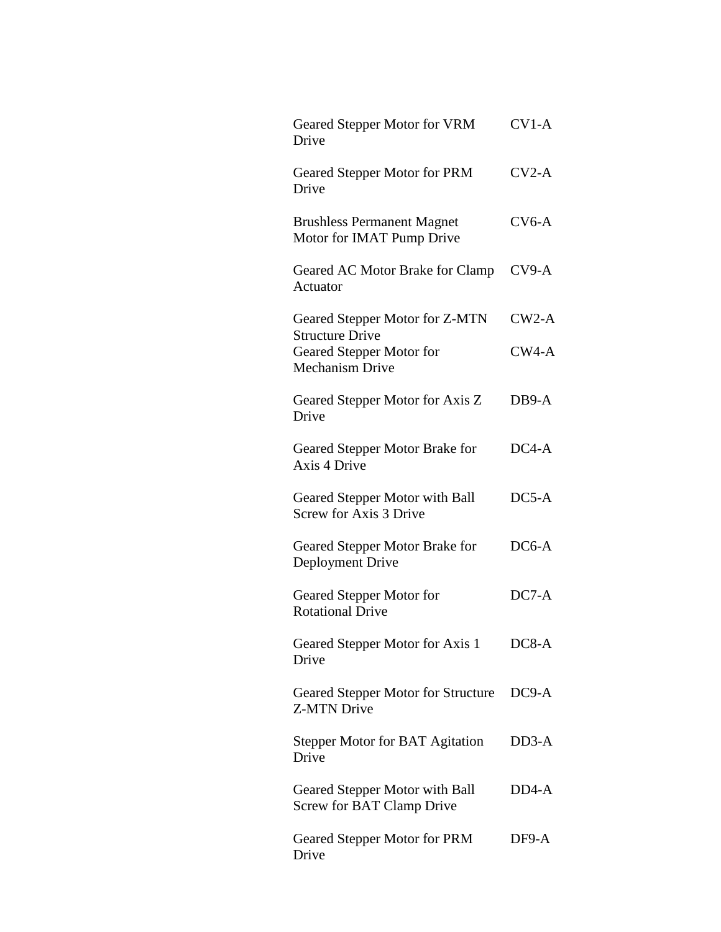| Geared Stepper Motor for VRM<br>Drive                                        | $CV1-A$ |
|------------------------------------------------------------------------------|---------|
| Geared Stepper Motor for PRM<br>Drive                                        | $CV2-A$ |
| <b>Brushless Permanent Magnet</b><br>Motor for IMAT Pump Drive               | $CV6-A$ |
| Geared AC Motor Brake for Clamp<br>Actuator                                  | $CV9-A$ |
| Geared Stepper Motor for Z-MTN                                               | $CW2-A$ |
| <b>Structure Drive</b><br>Geared Stepper Motor for<br><b>Mechanism Drive</b> | $CW4-A$ |
| Geared Stepper Motor for Axis Z<br>Drive                                     | DB9-A   |
| Geared Stepper Motor Brake for<br>Axis 4 Drive                               | $DC4-A$ |
| Geared Stepper Motor with Ball<br>Screw for Axis 3 Drive                     | $DC5-A$ |
| Geared Stepper Motor Brake for<br>Deployment Drive                           | $DC6-A$ |
| Geared Stepper Motor for<br><b>Rotational Drive</b>                          | $DC7-A$ |
| Geared Stepper Motor for Axis 1<br>Drive                                     | $DC8-A$ |
| <b>Geared Stepper Motor for Structure</b><br>Z-MTN Drive                     | $DC9-A$ |
| <b>Stepper Motor for BAT Agitation</b><br>Drive                              | $DD3-A$ |
| Geared Stepper Motor with Ball<br>Screw for BAT Clamp Drive                  | DD4-A   |
| Geared Stepper Motor for PRM<br>Drive                                        | DF9-A   |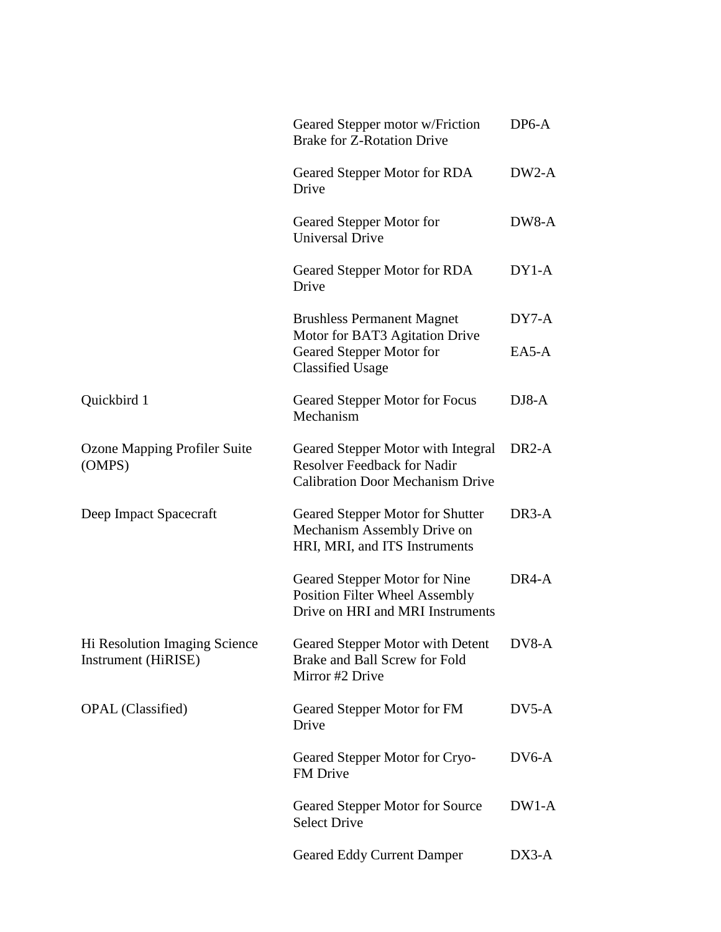|                                                      | Geared Stepper motor w/Friction<br><b>Brake for Z-Rotation Drive</b>                                                | $DP6-A$            |
|------------------------------------------------------|---------------------------------------------------------------------------------------------------------------------|--------------------|
|                                                      | Geared Stepper Motor for RDA<br>Drive                                                                               | $DW2-A$            |
|                                                      | Geared Stepper Motor for<br><b>Universal Drive</b>                                                                  | DW8-A              |
|                                                      | Geared Stepper Motor for RDA<br>Drive                                                                               | $DY1-A$            |
|                                                      | <b>Brushless Permanent Magnet</b>                                                                                   | $DY7-A$            |
|                                                      | Motor for BAT3 Agitation Drive<br>Geared Stepper Motor for<br><b>Classified Usage</b>                               | EA5-A              |
| Quickbird 1                                          | Geared Stepper Motor for Focus<br>Mechanism                                                                         | $DJ8-A$            |
| Ozone Mapping Profiler Suite<br>(OMPS)               | Geared Stepper Motor with Integral<br><b>Resolver Feedback for Nadir</b><br><b>Calibration Door Mechanism Drive</b> | DR <sub>2</sub> -A |
| Deep Impact Spacecraft                               | Geared Stepper Motor for Shutter<br>Mechanism Assembly Drive on<br>HRI, MRI, and ITS Instruments                    | DR3-A              |
|                                                      | Geared Stepper Motor for Nine<br><b>Position Filter Wheel Assembly</b><br>Drive on HRI and MRI Instruments          | DR <sub>4</sub> -A |
| Hi Resolution Imaging Science<br>Instrument (HiRISE) | Geared Stepper Motor with Detent<br>Brake and Ball Screw for Fold<br>Mirror #2 Drive                                | DV8-A              |
| <b>OPAL</b> (Classified)                             | Geared Stepper Motor for FM<br>Drive                                                                                | $DV5-A$            |
|                                                      | Geared Stepper Motor for Cryo-<br>FM Drive                                                                          | $DV6-A$            |
|                                                      | Geared Stepper Motor for Source<br><b>Select Drive</b>                                                              | $DW1-A$            |
|                                                      | <b>Geared Eddy Current Damper</b>                                                                                   | $DX3-A$            |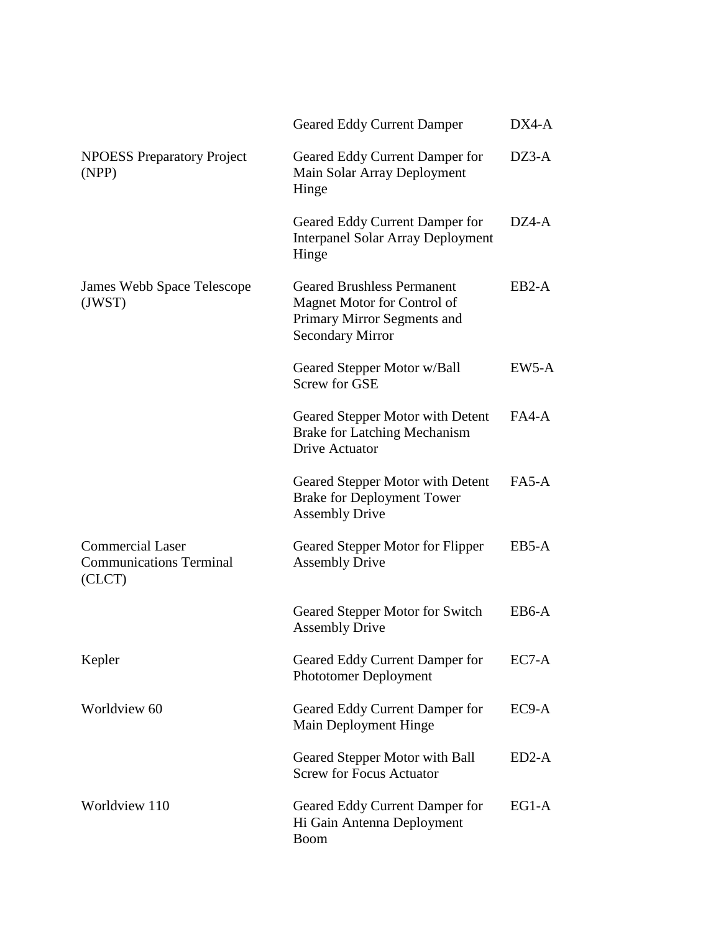|                                                                     | <b>Geared Eddy Current Damper</b>                                                                                          | DX4-A   |
|---------------------------------------------------------------------|----------------------------------------------------------------------------------------------------------------------------|---------|
| <b>NPOESS Preparatory Project</b><br>(NPP)                          | Geared Eddy Current Damper for<br>Main Solar Array Deployment<br>Hinge                                                     | $DZ3-A$ |
|                                                                     | Geared Eddy Current Damper for<br><b>Interpanel Solar Array Deployment</b><br>Hinge                                        | DZ4-A   |
| James Webb Space Telescope<br>(JWST)                                | <b>Geared Brushless Permanent</b><br>Magnet Motor for Control of<br>Primary Mirror Segments and<br><b>Secondary Mirror</b> | $EB2-A$ |
|                                                                     | Geared Stepper Motor w/Ball<br><b>Screw for GSE</b>                                                                        | $EW5-A$ |
|                                                                     | Geared Stepper Motor with Detent<br><b>Brake for Latching Mechanism</b><br>Drive Actuator                                  | $FA4-A$ |
|                                                                     | Geared Stepper Motor with Detent<br><b>Brake for Deployment Tower</b><br><b>Assembly Drive</b>                             | $FA5-A$ |
| <b>Commercial Laser</b><br><b>Communications Terminal</b><br>(CLCT) | Geared Stepper Motor for Flipper<br><b>Assembly Drive</b>                                                                  | EB5-A   |
|                                                                     | Geared Stepper Motor for Switch<br><b>Assembly Drive</b>                                                                   | EB6-A   |
| Kepler                                                              | Geared Eddy Current Damper for<br><b>Phototomer Deployment</b>                                                             | $EC7-A$ |
| Worldview 60                                                        | Geared Eddy Current Damper for<br>Main Deployment Hinge                                                                    | $EC9-A$ |
|                                                                     | Geared Stepper Motor with Ball<br><b>Screw for Focus Actuator</b>                                                          | $ED2-A$ |
| Worldview 110                                                       | Geared Eddy Current Damper for<br>Hi Gain Antenna Deployment<br><b>Boom</b>                                                | $EG1-A$ |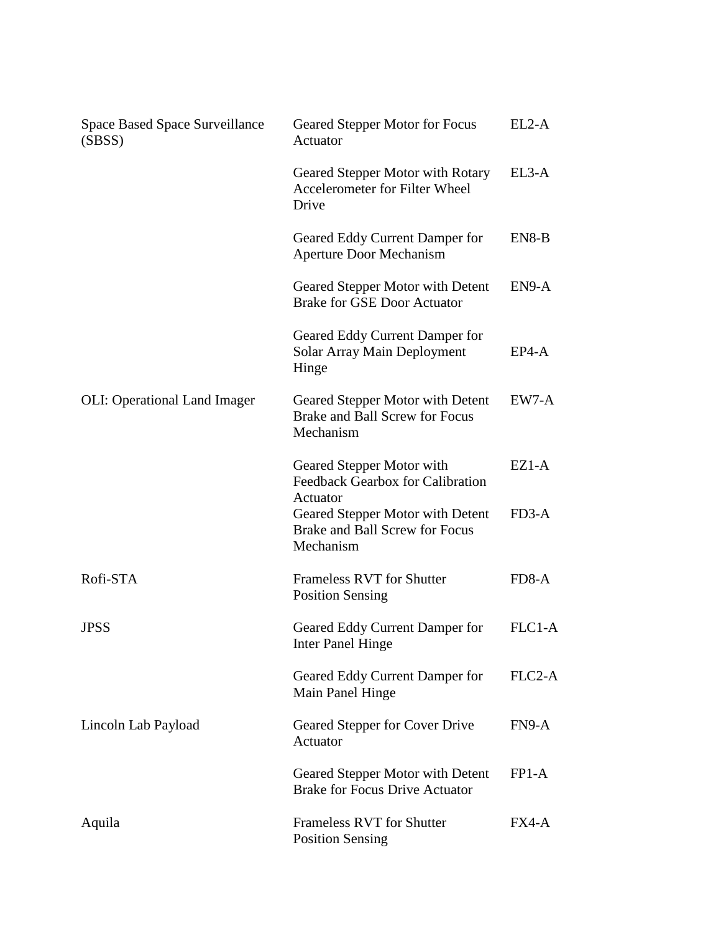| <b>Space Based Space Surveillance</b><br>(SBSS) | Geared Stepper Motor for Focus<br>Actuator                                      | $EL2-A$ |
|-------------------------------------------------|---------------------------------------------------------------------------------|---------|
|                                                 | Geared Stepper Motor with Rotary<br>Accelerometer for Filter Wheel<br>Drive     | EL3-A   |
|                                                 | Geared Eddy Current Damper for<br><b>Aperture Door Mechanism</b>                | EN8-B   |
|                                                 | Geared Stepper Motor with Detent<br><b>Brake for GSE Door Actuator</b>          | EN9-A   |
|                                                 | Geared Eddy Current Damper for<br>Solar Array Main Deployment<br>Hinge          | $EP4-A$ |
| <b>OLI:</b> Operational Land Imager             | Geared Stepper Motor with Detent<br>Brake and Ball Screw for Focus<br>Mechanism | EW7-A   |
|                                                 | Geared Stepper Motor with<br>Feedback Gearbox for Calibration<br>Actuator       | $EZ1-A$ |
|                                                 | Geared Stepper Motor with Detent<br>Brake and Ball Screw for Focus<br>Mechanism | $FD3-A$ |
| Rofi-STA                                        | <b>Frameless RVT for Shutter</b><br><b>Position Sensing</b>                     | FD8-A   |
| <b>JPSS</b>                                     | Geared Eddy Current Damper for<br>Inter Panel Hinge                             | FLC1-A  |
|                                                 | Geared Eddy Current Damper for<br>Main Panel Hinge                              | FLC2-A  |
| Lincoln Lab Payload                             | Geared Stepper for Cover Drive<br>Actuator                                      | FN9-A   |
|                                                 | Geared Stepper Motor with Detent<br><b>Brake for Focus Drive Actuator</b>       | FP1-A   |
| Aquila                                          | <b>Frameless RVT for Shutter</b><br><b>Position Sensing</b>                     | FX4-A   |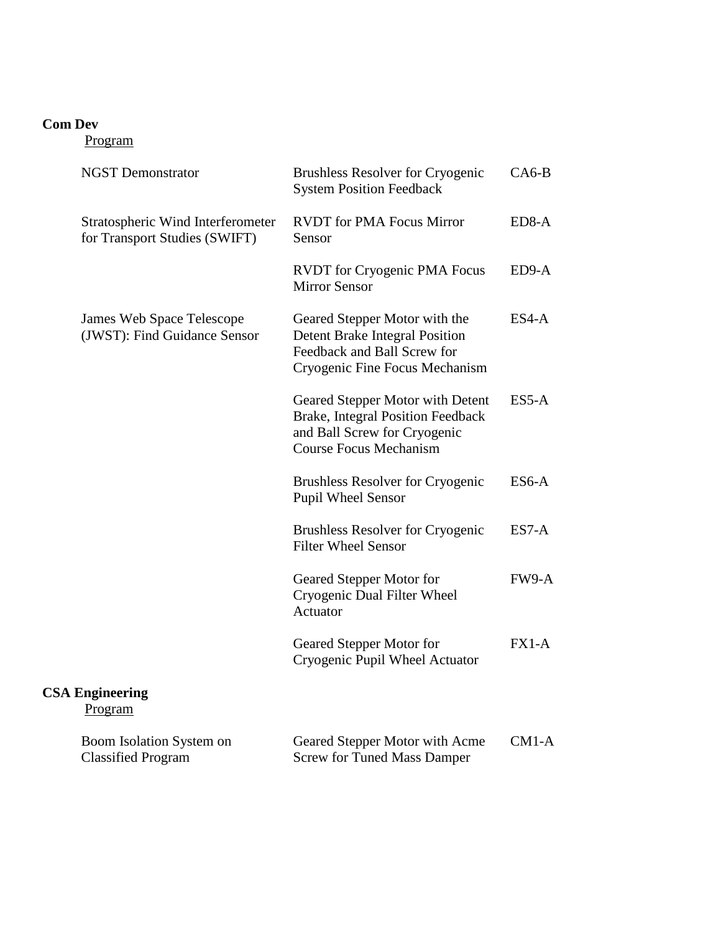#### **Com Dev**

| <b>NGST Demonstrator</b>          |                                                                    | <b>Brushless Resolver for Cryogenic</b><br><b>System Position Feedback</b>                                                              | $CA6-B$ |
|-----------------------------------|--------------------------------------------------------------------|-----------------------------------------------------------------------------------------------------------------------------------------|---------|
|                                   | Stratospheric Wind Interferometer<br>for Transport Studies (SWIFT) | <b>RVDT</b> for PMA Focus Mirror<br>Sensor                                                                                              | $ED8-A$ |
|                                   |                                                                    | <b>RVDT</b> for Cryogenic PMA Focus<br><b>Mirror Sensor</b>                                                                             | $ED9-A$ |
|                                   | James Web Space Telescope<br>(JWST): Find Guidance Sensor          | Geared Stepper Motor with the<br><b>Detent Brake Integral Position</b><br>Feedback and Ball Screw for<br>Cryogenic Fine Focus Mechanism | $ES4-A$ |
|                                   |                                                                    | Geared Stepper Motor with Detent<br>Brake, Integral Position Feedback<br>and Ball Screw for Cryogenic<br><b>Course Focus Mechanism</b>  | $ES5-A$ |
|                                   |                                                                    | <b>Brushless Resolver for Cryogenic</b><br><b>Pupil Wheel Sensor</b>                                                                    | ES6-A   |
|                                   |                                                                    | <b>Brushless Resolver for Cryogenic</b><br><b>Filter Wheel Sensor</b>                                                                   | $ES7-A$ |
|                                   |                                                                    | Geared Stepper Motor for<br>Cryogenic Dual Filter Wheel<br>Actuator                                                                     | FW9-A   |
|                                   |                                                                    | Geared Stepper Motor for<br>Cryogenic Pupil Wheel Actuator                                                                              | $FX1-A$ |
| <b>CSA Engineering</b><br>Program |                                                                    |                                                                                                                                         |         |
| <b>Classified Program</b>         | Boom Isolation System on                                           | Geared Stepper Motor with Acme<br><b>Screw for Tuned Mass Damper</b>                                                                    | $CM1-A$ |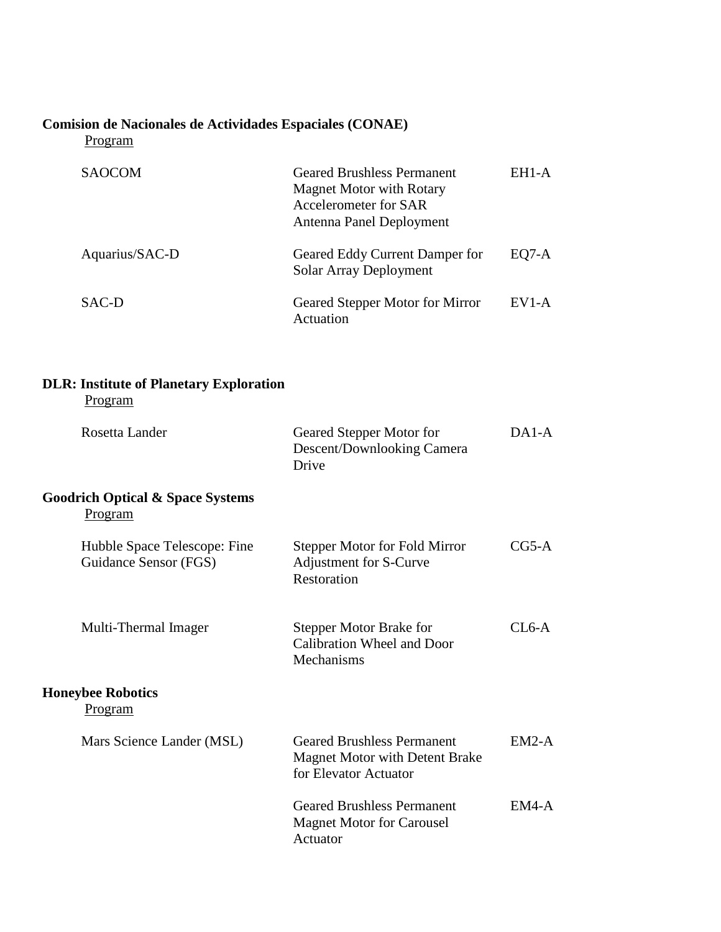# **Comision de Nacionales de Actividades Espaciales (CONAE)**

Program

| <b>SAOCOM</b>  | <b>Geared Brushless Permanent</b><br><b>Magnet Motor with Rotary</b><br>Accelerometer for SAR<br>Antenna Panel Deployment | EH <sub>1</sub> -A |
|----------------|---------------------------------------------------------------------------------------------------------------------------|--------------------|
| Aquarius/SAC-D | Geared Eddy Current Damper for<br>Solar Array Deployment                                                                  | EO7-A              |
| SAC-D          | Geared Stepper Motor for Mirror<br>Actuation                                                                              | $EVI-A$            |

# **DLR: Institute of Planetary Exploration**

| Rosetta Lander                                                | Geared Stepper Motor for<br>Descent/Downlooking Camera<br>Drive                                     | $DA1-A$ |
|---------------------------------------------------------------|-----------------------------------------------------------------------------------------------------|---------|
| <b>Goodrich Optical &amp; Space Systems</b><br><b>Program</b> |                                                                                                     |         |
| Hubble Space Telescope: Fine<br>Guidance Sensor (FGS)         | <b>Stepper Motor for Fold Mirror</b><br>Adjustment for S-Curve<br>Restoration                       | $CG5-A$ |
| Multi-Thermal Imager                                          | <b>Stepper Motor Brake for</b><br>Calibration Wheel and Door<br>Mechanisms                          | $CI6-A$ |
| <b>Honeybee Robotics</b><br><u>Program</u>                    |                                                                                                     |         |
| Mars Science Lander (MSL)                                     | <b>Geared Brushless Permanent</b><br><b>Magnet Motor with Detent Brake</b><br>for Elevator Actuator | $EM2-A$ |
|                                                               | <b>Geared Brushless Permanent</b><br><b>Magnet Motor for Carousel</b><br>Actuator                   | $EM4-A$ |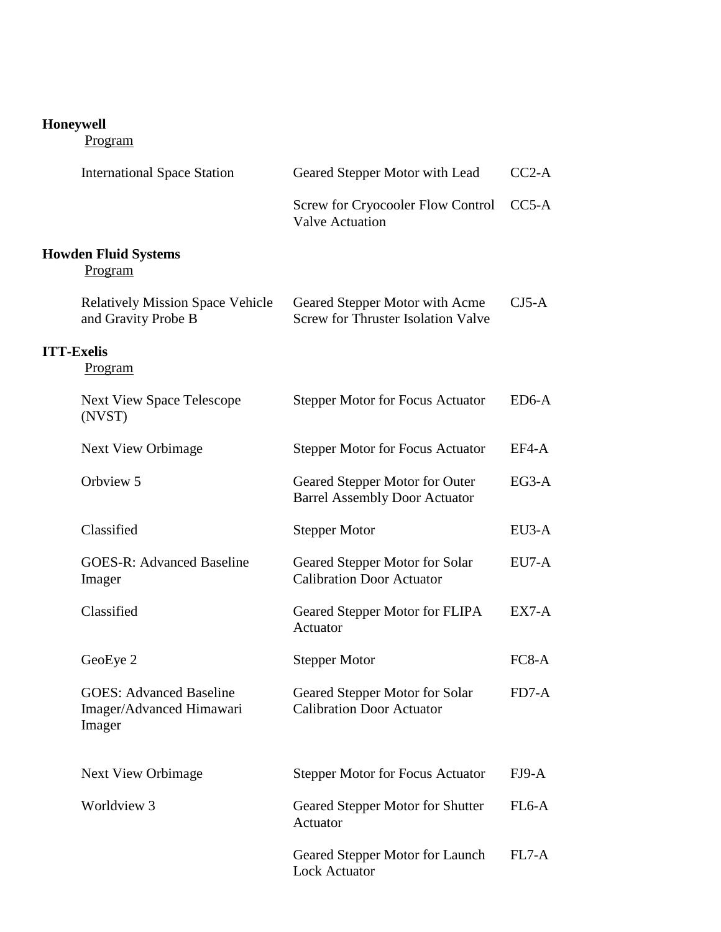# **Honeywell**

|                   | <b>International Space Station</b>                                   | Geared Stepper Motor with Lead                                              | $CC2-A$            |
|-------------------|----------------------------------------------------------------------|-----------------------------------------------------------------------------|--------------------|
|                   |                                                                      | Screw for Cryocooler Flow Control<br><b>Valve Actuation</b>                 | $CC5-A$            |
|                   | <b>Howden Fluid Systems</b><br>Program                               |                                                                             |                    |
|                   | <b>Relatively Mission Space Vehicle</b><br>and Gravity Probe B       | Geared Stepper Motor with Acme<br><b>Screw for Thruster Isolation Valve</b> | $CJ5-A$            |
| <b>ITT-Exelis</b> | <b>Program</b>                                                       |                                                                             |                    |
|                   | <b>Next View Space Telescope</b><br>(NVST)                           | <b>Stepper Motor for Focus Actuator</b>                                     | ED6-A              |
|                   | <b>Next View Orbimage</b>                                            | <b>Stepper Motor for Focus Actuator</b>                                     | EF4-A              |
|                   | Orbview 5                                                            | Geared Stepper Motor for Outer<br><b>Barrel Assembly Door Actuator</b>      | $EG3-A$            |
|                   | Classified                                                           | <b>Stepper Motor</b>                                                        | EU3-A              |
|                   | <b>GOES-R: Advanced Baseline</b><br>Imager                           | Geared Stepper Motor for Solar<br><b>Calibration Door Actuator</b>          | EU7-A              |
|                   | Classified                                                           | Geared Stepper Motor for FLIPA<br>Actuator                                  | EX7-A              |
|                   | GeoEye 2                                                             | <b>Stepper Motor</b>                                                        | $FC8-A$            |
|                   | <b>GOES: Advanced Baseline</b><br>Imager/Advanced Himawari<br>Imager | Geared Stepper Motor for Solar<br><b>Calibration Door Actuator</b>          | FD7-A              |
|                   | <b>Next View Orbimage</b>                                            | <b>Stepper Motor for Focus Actuator</b>                                     | $FJ9-A$            |
|                   | Worldview 3                                                          | Geared Stepper Motor for Shutter<br>Actuator                                | FL <sub>6</sub> -A |
|                   |                                                                      | Geared Stepper Motor for Launch<br><b>Lock Actuator</b>                     | FL7-A              |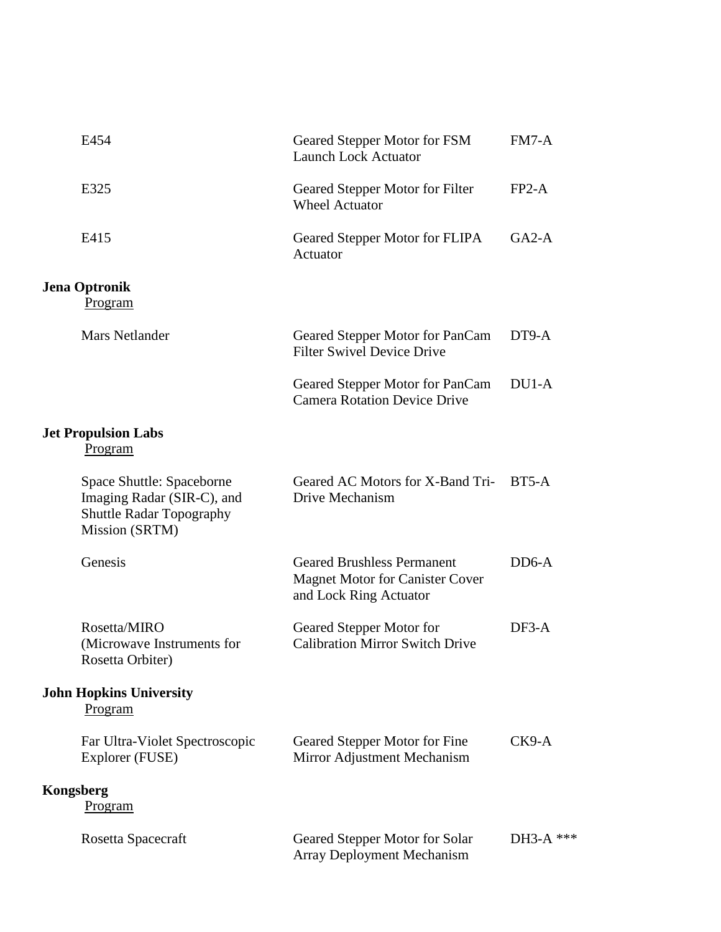| E454                                                                                                         | Geared Stepper Motor for FSM<br><b>Launch Lock Actuator</b>                                           | $FM7-A$     |
|--------------------------------------------------------------------------------------------------------------|-------------------------------------------------------------------------------------------------------|-------------|
| E325                                                                                                         | Geared Stepper Motor for Filter<br><b>Wheel Actuator</b>                                              | $FP2-A$     |
| E415                                                                                                         | Geared Stepper Motor for FLIPA<br>Actuator                                                            | $GA2-A$     |
| <b>Jena Optronik</b><br>Program                                                                              |                                                                                                       |             |
| <b>Mars Netlander</b>                                                                                        | Geared Stepper Motor for PanCam<br><b>Filter Swivel Device Drive</b>                                  | DT9-A       |
|                                                                                                              | Geared Stepper Motor for PanCam<br><b>Camera Rotation Device Drive</b>                                | $DU1-A$     |
| <b>Jet Propulsion Labs</b><br>Program                                                                        |                                                                                                       |             |
| Space Shuttle: Spaceborne<br>Imaging Radar (SIR-C), and<br><b>Shuttle Radar Topography</b><br>Mission (SRTM) | Geared AC Motors for X-Band Tri-<br>Drive Mechanism                                                   | $BT5-A$     |
| Genesis                                                                                                      | <b>Geared Brushless Permanent</b><br><b>Magnet Motor for Canister Cover</b><br>and Lock Ring Actuator | $DD6-A$     |
| Rosetta/MIRO<br>(Microwave Instruments for<br>Rosetta Orbiter)                                               | Geared Stepper Motor for<br><b>Calibration Mirror Switch Drive</b>                                    | $DF3-A$     |
| <b>John Hopkins University</b><br>Program                                                                    |                                                                                                       |             |
| Far Ultra-Violet Spectroscopic<br>Explorer (FUSE)                                                            | Geared Stepper Motor for Fine<br>Mirror Adjustment Mechanism                                          | $CK9-A$     |
| <b>Kongsberg</b><br>Program                                                                                  |                                                                                                       |             |
| Rosetta Spacecraft                                                                                           | Geared Stepper Motor for Solar<br><b>Array Deployment Mechanism</b>                                   | $DH3-A$ *** |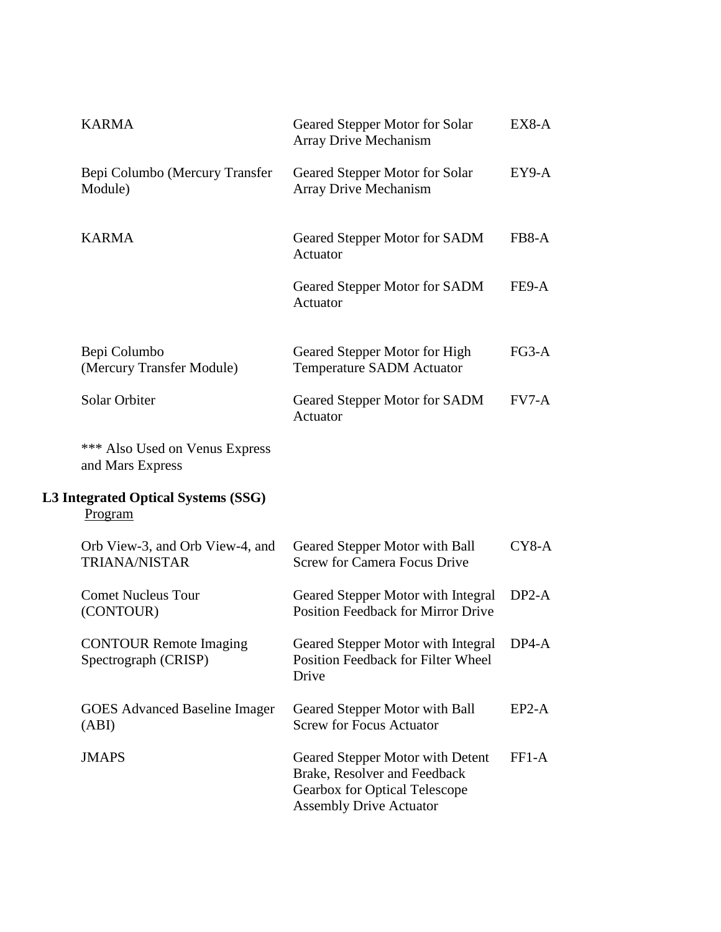| <b>KARMA</b>                                            | Geared Stepper Motor for Solar<br><b>Array Drive Mechanism</b>                                                                      | EX8-A   |
|---------------------------------------------------------|-------------------------------------------------------------------------------------------------------------------------------------|---------|
| Bepi Columbo (Mercury Transfer<br>Module)               | Geared Stepper Motor for Solar<br><b>Array Drive Mechanism</b>                                                                      | $EY9-A$ |
| <b>KARMA</b>                                            | Geared Stepper Motor for SADM<br>Actuator                                                                                           | FB8-A   |
|                                                         | Geared Stepper Motor for SADM<br>Actuator                                                                                           | FE9-A   |
| Bepi Columbo<br>(Mercury Transfer Module)               | Geared Stepper Motor for High<br><b>Temperature SADM Actuator</b>                                                                   | $FG3-A$ |
| Solar Orbiter                                           | Geared Stepper Motor for SADM<br>Actuator                                                                                           | $FV7-A$ |
| *** Also Used on Venus Express<br>and Mars Express      |                                                                                                                                     |         |
| L3 Integrated Optical Systems (SSG)<br>Program          |                                                                                                                                     |         |
| Orb View-3, and Orb View-4, and<br><b>TRIANA/NISTAR</b> | Geared Stepper Motor with Ball<br><b>Screw for Camera Focus Drive</b>                                                               | $CY8-A$ |
| <b>Comet Nucleus Tour</b><br>(CONTOUR)                  | Geared Stepper Motor with Integral<br><b>Position Feedback for Mirror Drive</b>                                                     | $DP2-A$ |
| <b>CONTOUR Remote Imaging</b><br>Spectrograph (CRISP)   | Geared Stepper Motor with Integral DP4-A<br>Position Feedback for Filter Wheel<br>Drive                                             |         |
| <b>GOES</b> Advanced Baseline Imager<br>(ABI)           | Geared Stepper Motor with Ball<br><b>Screw for Focus Actuator</b>                                                                   | $EP2-A$ |
| <b>JMAPS</b>                                            | Geared Stepper Motor with Detent<br>Brake, Resolver and Feedback<br>Gearbox for Optical Telescope<br><b>Assembly Drive Actuator</b> | $FF1-A$ |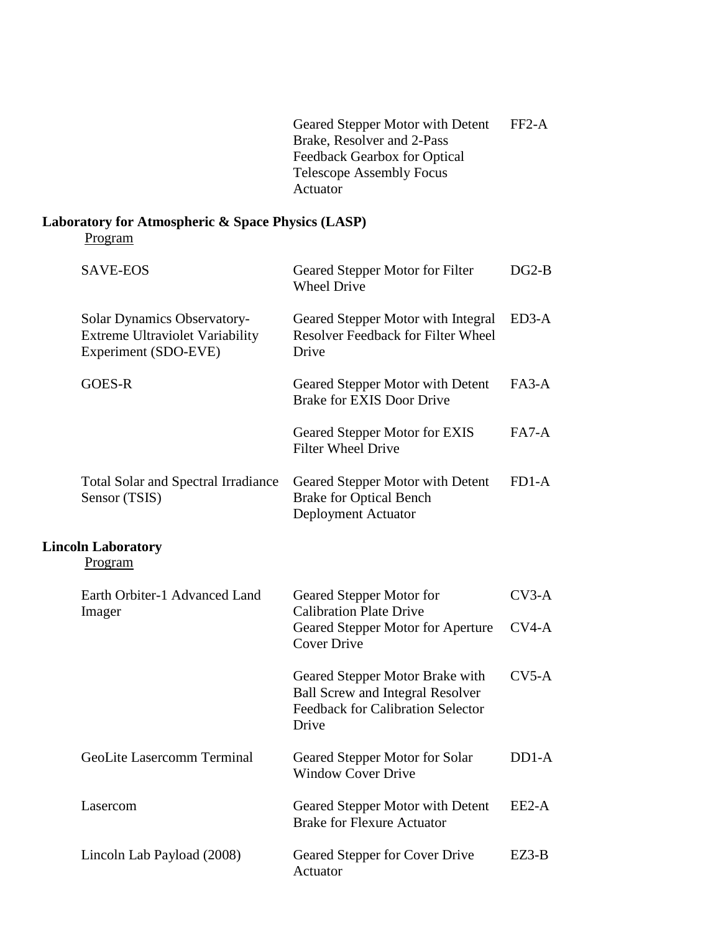Geared Stepper Motor with Detent Brake, Resolver and 2-Pass Feedback Gearbox for Optical Telescope Assembly Focus Actuator FF2-A

#### **Laboratory for Atmospheric & Space Physics (LASP)** Program

| <b>SAVE-EOS</b>                                                                               | Geared Stepper Motor for Filter<br><b>Wheel Drive</b>                                                                           | $DG2-B$            |
|-----------------------------------------------------------------------------------------------|---------------------------------------------------------------------------------------------------------------------------------|--------------------|
| Solar Dynamics Observatory-<br><b>Extreme Ultraviolet Variability</b><br>Experiment (SDO-EVE) | Geared Stepper Motor with Integral<br><b>Resolver Feedback for Filter Wheel</b><br>Drive                                        | $ED3-A$            |
| GOES-R                                                                                        | Geared Stepper Motor with Detent<br><b>Brake for EXIS Door Drive</b>                                                            | $FA3-A$            |
|                                                                                               | Geared Stepper Motor for EXIS<br><b>Filter Wheel Drive</b>                                                                      | $FA7-A$            |
| <b>Total Solar and Spectral Irradiance</b><br>Sensor (TSIS)                                   | Geared Stepper Motor with Detent<br><b>Brake for Optical Bench</b><br>Deployment Actuator                                       | $FD1-A$            |
| <b>Lincoln Laboratory</b><br>Program                                                          |                                                                                                                                 |                    |
| Earth Orbiter-1 Advanced Land<br>Imager                                                       | Geared Stepper Motor for<br><b>Calibration Plate Drive</b>                                                                      | $CV3-A$            |
|                                                                                               | Geared Stepper Motor for Aperture<br><b>Cover Drive</b>                                                                         | $CVA-A$            |
|                                                                                               | Geared Stepper Motor Brake with<br><b>Ball Screw and Integral Resolver</b><br><b>Feedback for Calibration Selector</b><br>Drive | $CV5-A$            |
| <b>GeoLite Lasercomm Terminal</b>                                                             | Geared Stepper Motor for Solar<br><b>Window Cover Drive</b>                                                                     | DD <sub>1</sub> -A |
| Lasercom                                                                                      | Geared Stepper Motor with Detent<br><b>Brake for Flexure Actuator</b>                                                           | EE2-A              |
| Lincoln Lab Payload (2008)                                                                    | Geared Stepper for Cover Drive<br>Actuator                                                                                      | EZ3-B              |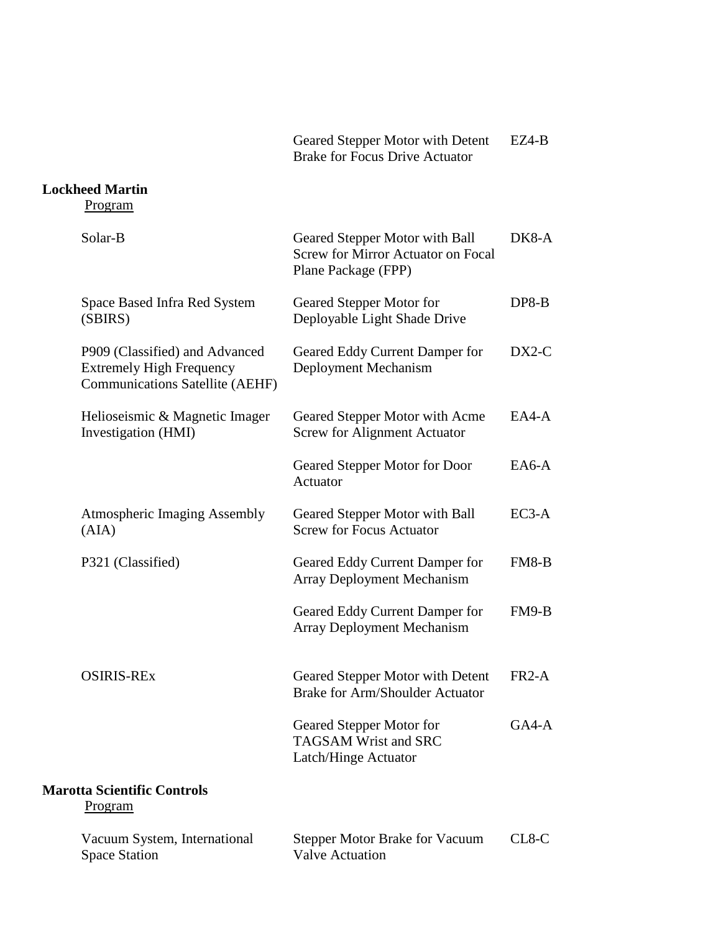Geared Stepper Motor with Detent Brake for Focus Drive Actuator EZ4-B

## **Lockheed Martin**

| Solar-B                                                                                                     | Geared Stepper Motor with Ball<br><b>Screw for Mirror Actuator on Focal</b><br>Plane Package (FPP) | $DK8-A$ |
|-------------------------------------------------------------------------------------------------------------|----------------------------------------------------------------------------------------------------|---------|
| Space Based Infra Red System<br>(SBIRS)                                                                     | Geared Stepper Motor for<br>Deployable Light Shade Drive                                           | $DP8-B$ |
| P909 (Classified) and Advanced<br><b>Extremely High Frequency</b><br><b>Communications Satellite (AEHF)</b> | Geared Eddy Current Damper for<br>Deployment Mechanism                                             | $DX2-C$ |
| Helioseismic & Magnetic Imager<br>Investigation (HMI)                                                       | Geared Stepper Motor with Acme<br><b>Screw for Alignment Actuator</b>                              | $EAA-A$ |
|                                                                                                             | Geared Stepper Motor for Door<br>Actuator                                                          | $EAG-A$ |
| <b>Atmospheric Imaging Assembly</b><br>(AIA)                                                                | Geared Stepper Motor with Ball<br><b>Screw for Focus Actuator</b>                                  | $EC3-A$ |
| P321 (Classified)                                                                                           | Geared Eddy Current Damper for<br><b>Array Deployment Mechanism</b>                                | $FM8-B$ |
|                                                                                                             | Geared Eddy Current Damper for<br><b>Array Deployment Mechanism</b>                                | $FM9-B$ |
| <b>OSIRIS-REX</b>                                                                                           | Geared Stepper Motor with Detent<br><b>Brake for Arm/Shoulder Actuator</b>                         | $FR2-A$ |
|                                                                                                             | Geared Stepper Motor for<br><b>TAGSAM Wrist and SRC</b><br>Latch/Hinge Actuator                    | $GA4-A$ |
| <b>Marotta Scientific Controls</b><br>Program                                                               |                                                                                                    |         |
| Vacuum System, International<br><b>Space Station</b>                                                        | <b>Stepper Motor Brake for Vacuum</b><br><b>Valve Actuation</b>                                    | $CL8-C$ |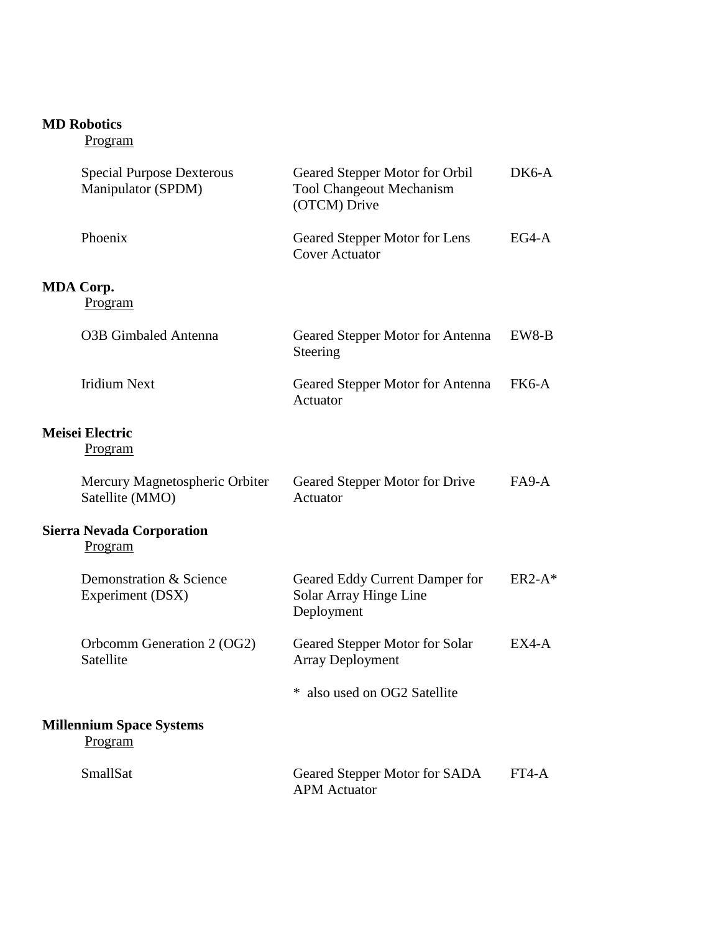### **MD Robotics**

| <b>Special Purpose Dexterous</b><br>Manipulator (SPDM) | Geared Stepper Motor for Orbil<br><b>Tool Changeout Mechanism</b><br>(OTCM) Drive | DK6-A    |
|--------------------------------------------------------|-----------------------------------------------------------------------------------|----------|
| Phoenix                                                | Geared Stepper Motor for Lens<br><b>Cover Actuator</b>                            | $EG4-A$  |
| MDA Corp.<br>Program                                   |                                                                                   |          |
| <b>O3B</b> Gimbaled Antenna                            | Geared Stepper Motor for Antenna<br>Steering                                      | EW8-B    |
| <b>Iridium Next</b>                                    | Geared Stepper Motor for Antenna<br>Actuator                                      | FK6-A    |
| <b>Meisei Electric</b><br><b>Program</b>               |                                                                                   |          |
| Mercury Magnetospheric Orbiter<br>Satellite (MMO)      | Geared Stepper Motor for Drive<br>Actuator                                        | $FA9-A$  |
| <b>Sierra Nevada Corporation</b><br>Program            |                                                                                   |          |
| Demonstration & Science<br>Experiment (DSX)            | Geared Eddy Current Damper for<br>Solar Array Hinge Line<br>Deployment            | $ER2-A*$ |
| Orbcomm Generation 2 (OG2)<br>Satellite                | Geared Stepper Motor for Solar<br><b>Array Deployment</b>                         | $EX4-A$  |
|                                                        | also used on OG2 Satellite                                                        |          |
| <b>Millennium Space Systems</b><br>Program             |                                                                                   |          |
| SmallSat                                               | Geared Stepper Motor for SADA<br><b>APM</b> Actuator                              | $FT4-A$  |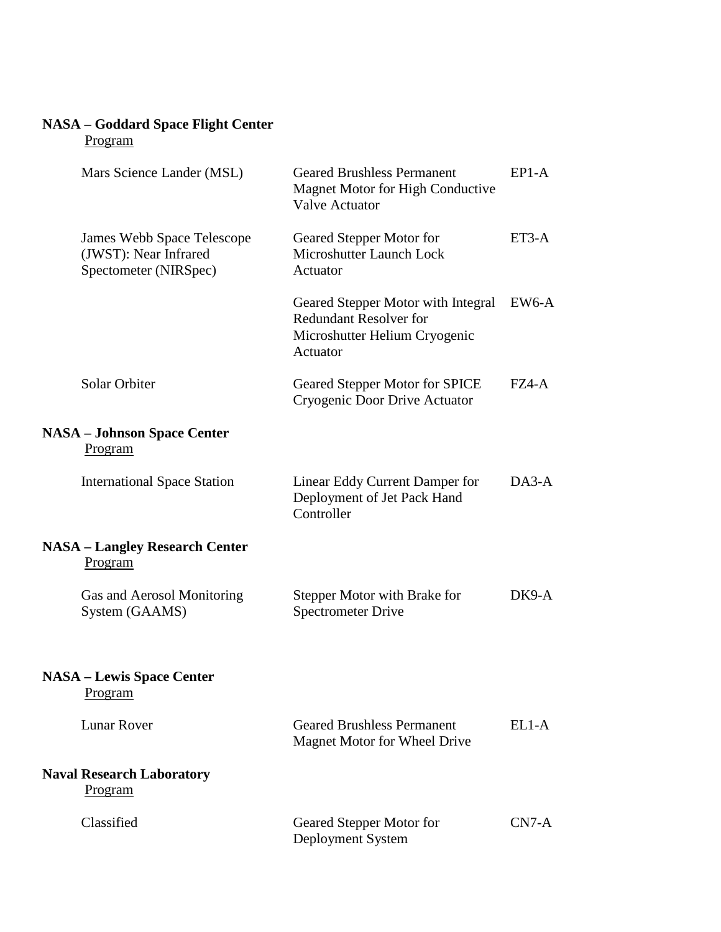# **NASA – Goddard Space Flight Center**

| Mars Science Lander (MSL)                                                    | <b>Geared Brushless Permanent</b><br><b>Magnet Motor for High Conductive</b><br><b>Valve Actuator</b>            | $EP1-A$ |
|------------------------------------------------------------------------------|------------------------------------------------------------------------------------------------------------------|---------|
| James Webb Space Telescope<br>(JWST): Near Infrared<br>Spectometer (NIRSpec) | Geared Stepper Motor for<br>Microshutter Launch Lock<br>Actuator                                                 | $ET3-A$ |
|                                                                              | Geared Stepper Motor with Integral<br><b>Redundant Resolver for</b><br>Microshutter Helium Cryogenic<br>Actuator | EW6-A   |
| Solar Orbiter                                                                | <b>Geared Stepper Motor for SPICE</b><br>Cryogenic Door Drive Actuator                                           | $FZ4-A$ |
| <b>NASA - Johnson Space Center</b><br><b>Program</b>                         |                                                                                                                  |         |
| <b>International Space Station</b>                                           | Linear Eddy Current Damper for<br>Deployment of Jet Pack Hand<br>Controller                                      | $DA3-A$ |
| <b>NASA – Langley Research Center</b><br>Program                             |                                                                                                                  |         |
| Gas and Aerosol Monitoring<br>System (GAAMS)                                 | Stepper Motor with Brake for<br><b>Spectrometer Drive</b>                                                        | DK9-A   |
| <b>NASA – Lewis Space Center</b><br>Program                                  |                                                                                                                  |         |
| <b>Lunar Rover</b>                                                           | <b>Geared Brushless Permanent</b><br>Magnet Motor for Wheel Drive                                                | $EL1-A$ |
| <b>Naval Research Laboratory</b><br><u>Program</u>                           |                                                                                                                  |         |
| Classified                                                                   | Geared Stepper Motor for<br>Deployment System                                                                    | $CN7-A$ |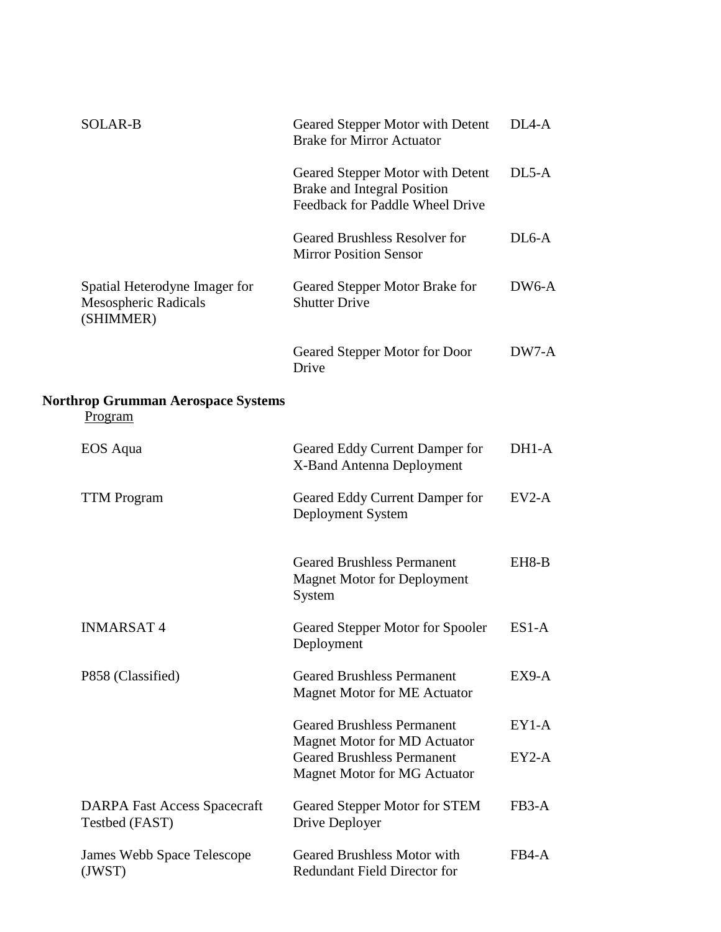| <b>SOLAR-B</b>                                                     | Geared Stepper Motor with Detent<br><b>Brake for Mirror Actuator</b>                                      | DL <sub>4</sub> -A |
|--------------------------------------------------------------------|-----------------------------------------------------------------------------------------------------------|--------------------|
|                                                                    | Geared Stepper Motor with Detent<br><b>Brake and Integral Position</b><br>Feedback for Paddle Wheel Drive | $DL5-A$            |
|                                                                    | <b>Geared Brushless Resolver for</b><br><b>Mirror Position Sensor</b>                                     | $DL6-A$            |
| Spatial Heterodyne Imager for<br>Mesospheric Radicals<br>(SHIMMER) | Geared Stepper Motor Brake for<br><b>Shutter Drive</b>                                                    | DW6-A              |
|                                                                    | Geared Stepper Motor for Door<br>Drive                                                                    | DW7-A              |
| <b>Northrop Grumman Aerospace Systems</b><br>Program               |                                                                                                           |                    |
| EOS Aqua                                                           | Geared Eddy Current Damper for<br>X-Band Antenna Deployment                                               | DH1-A              |
| <b>TTM Program</b>                                                 | Geared Eddy Current Damper for<br>Deployment System                                                       | $EV2-A$            |
|                                                                    | <b>Geared Brushless Permanent</b><br><b>Magnet Motor for Deployment</b><br>System                         | EH8-B              |
| <b>INMARSAT4</b>                                                   | Geared Stepper Motor for Spooler<br>Deployment                                                            | $ES1-A$            |
| P858 (Classified)                                                  | <b>Geared Brushless Permanent</b><br><b>Magnet Motor for ME Actuator</b>                                  | $EX9-A$            |
|                                                                    | <b>Geared Brushless Permanent</b><br><b>Magnet Motor for MD Actuator</b>                                  | $EY1-A$            |
|                                                                    | <b>Geared Brushless Permanent</b><br><b>Magnet Motor for MG Actuator</b>                                  | $EY2-A$            |
| <b>DARPA Fast Access Spacecraft</b><br>Testbed (FAST)              | Geared Stepper Motor for STEM<br>Drive Deployer                                                           | FB3-A              |
| James Webb Space Telescope<br>(JWST)                               | <b>Geared Brushless Motor with</b><br><b>Redundant Field Director for</b>                                 | FB4-A              |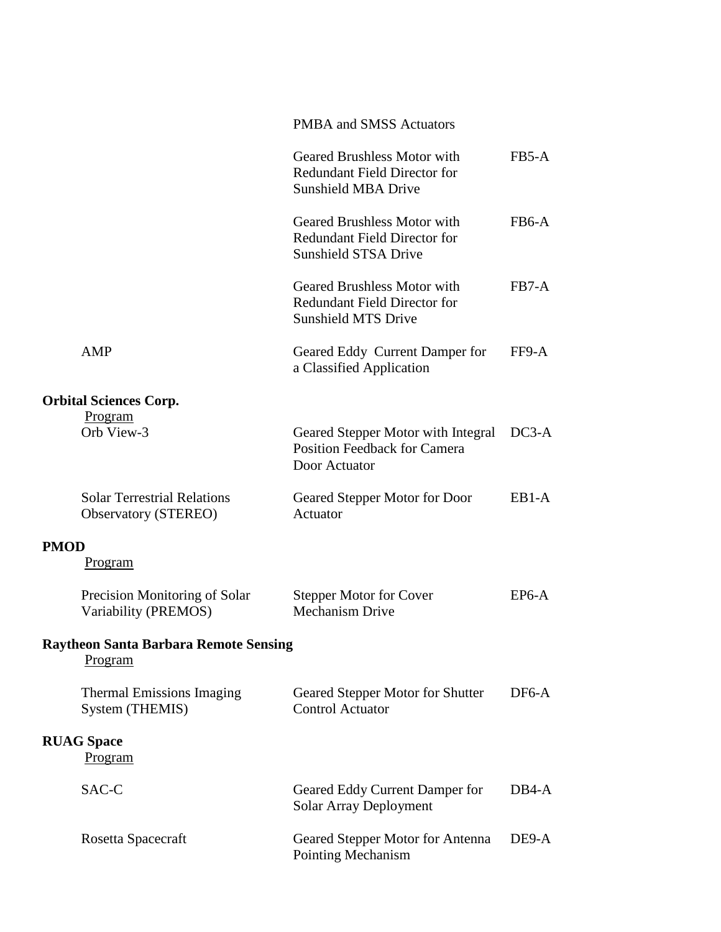|      |                                                                   | <b>PMBA and SMSS Actuators</b>                                                                           |                    |
|------|-------------------------------------------------------------------|----------------------------------------------------------------------------------------------------------|--------------------|
|      |                                                                   | <b>Geared Brushless Motor with</b><br><b>Redundant Field Director for</b><br><b>Sunshield MBA Drive</b>  | FB5-A              |
|      |                                                                   | <b>Geared Brushless Motor with</b><br><b>Redundant Field Director for</b><br><b>Sunshield STSA Drive</b> | FB <sub>6</sub> -A |
|      |                                                                   | <b>Geared Brushless Motor with</b><br><b>Redundant Field Director for</b><br><b>Sunshield MTS Drive</b>  | FB7-A              |
|      | AMP                                                               | Geared Eddy Current Damper for<br>a Classified Application                                               | FF9-A              |
|      | <b>Orbital Sciences Corp.</b>                                     |                                                                                                          |                    |
|      | Program                                                           |                                                                                                          |                    |
|      | Orb View-3                                                        | Geared Stepper Motor with Integral<br><b>Position Feedback for Camera</b><br>Door Actuator               | $DC3-A$            |
|      | <b>Solar Terrestrial Relations</b><br><b>Observatory (STEREO)</b> | Geared Stepper Motor for Door<br>Actuator                                                                | EB <sub>1</sub> -A |
| PMOD |                                                                   |                                                                                                          |                    |
|      | Program                                                           |                                                                                                          |                    |
|      | Precision Monitoring of Solar<br>Variability (PREMOS)             | <b>Stepper Motor for Cover</b><br><b>Mechanism Drive</b>                                                 | EP6-A              |
|      | <b>Raytheon Santa Barbara Remote Sensing</b><br>Program           |                                                                                                          |                    |
|      | <b>Thermal Emissions Imaging</b><br>System (THEMIS)               | Geared Stepper Motor for Shutter<br><b>Control Actuator</b>                                              | DF6-A              |
|      | <b>RUAG Space</b><br><u>Program</u>                               |                                                                                                          |                    |
|      | SAC-C                                                             | Geared Eddy Current Damper for<br><b>Solar Array Deployment</b>                                          | DB4-A              |
|      | Rosetta Spacecraft                                                | Geared Stepper Motor for Antenna<br>Pointing Mechanism                                                   | DE9-A              |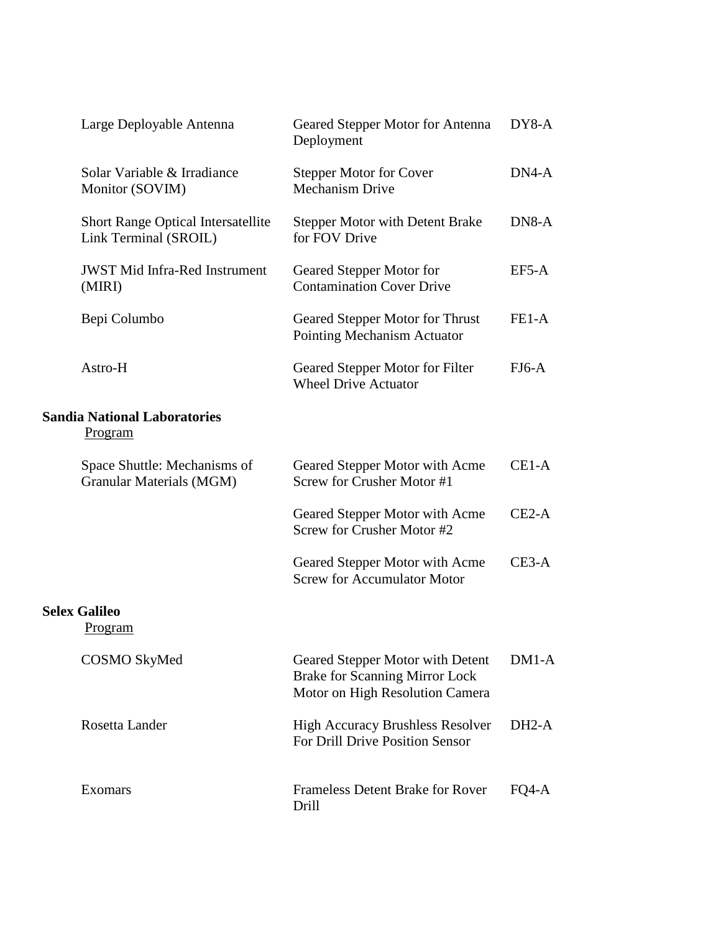| Large Deployable Antenna                                           | Geared Stepper Motor for Antenna<br>Deployment                                                               | DY8-A   |
|--------------------------------------------------------------------|--------------------------------------------------------------------------------------------------------------|---------|
| Solar Variable & Irradiance<br>Monitor (SOVIM)                     | <b>Stepper Motor for Cover</b><br><b>Mechanism Drive</b>                                                     | DN4-A   |
| <b>Short Range Optical Intersatellite</b><br>Link Terminal (SROIL) | <b>Stepper Motor with Detent Brake</b><br>for FOV Drive                                                      | DN8-A   |
| <b>JWST Mid Infra-Red Instrument</b><br>(MIRI)                     | Geared Stepper Motor for<br><b>Contamination Cover Drive</b>                                                 | $EF5-A$ |
| Bepi Columbo                                                       | Geared Stepper Motor for Thrust<br>Pointing Mechanism Actuator                                               | FE1-A   |
| Astro-H                                                            | Geared Stepper Motor for Filter<br><b>Wheel Drive Actuator</b>                                               | $FJ6-A$ |
| <b>Sandia National Laboratories</b><br><u>Program</u>              |                                                                                                              |         |
| Space Shuttle: Mechanisms of<br>Granular Materials (MGM)           | Geared Stepper Motor with Acme<br>Screw for Crusher Motor #1                                                 | CE1-A   |
|                                                                    | Geared Stepper Motor with Acme<br>Screw for Crusher Motor #2                                                 | $CE2-A$ |
|                                                                    | Geared Stepper Motor with Acme<br><b>Screw for Accumulator Motor</b>                                         | $CE3-A$ |
| <b>Selex Galileo</b><br><u>Program</u>                             |                                                                                                              |         |
| <b>COSMO SkyMed</b>                                                | Geared Stepper Motor with Detent<br><b>Brake for Scanning Mirror Lock</b><br>Motor on High Resolution Camera | $DM1-A$ |
| Rosetta Lander                                                     | <b>High Accuracy Brushless Resolver</b><br>For Drill Drive Position Sensor                                   | $DH2-A$ |
| Exomars                                                            | <b>Frameless Detent Brake for Rover</b><br>Drill                                                             | FQ4-A   |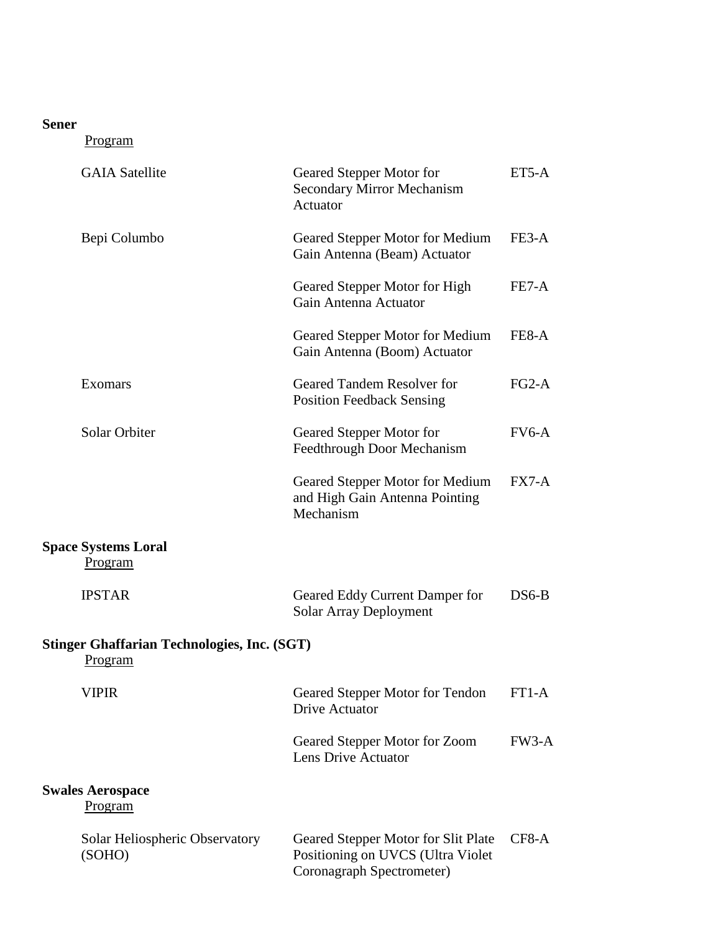## **Sener**

| <b>GAIA Satellite</b>                                         | Geared Stepper Motor for<br><b>Secondary Mirror Mechanism</b><br>Actuator                             | ET5-A   |
|---------------------------------------------------------------|-------------------------------------------------------------------------------------------------------|---------|
| Bepi Columbo                                                  | Geared Stepper Motor for Medium<br>Gain Antenna (Beam) Actuator                                       | FE3-A   |
|                                                               | Geared Stepper Motor for High<br>Gain Antenna Actuator                                                | FE7-A   |
|                                                               | Geared Stepper Motor for Medium<br>Gain Antenna (Boom) Actuator                                       | FE8-A   |
| Exomars                                                       | Geared Tandem Resolver for<br><b>Position Feedback Sensing</b>                                        | $FG2-A$ |
| <b>Solar Orbiter</b>                                          | Geared Stepper Motor for<br>Feedthrough Door Mechanism                                                | $FV6-A$ |
|                                                               | Geared Stepper Motor for Medium<br>and High Gain Antenna Pointing<br>Mechanism                        | $FX7-A$ |
| <b>Space Systems Loral</b><br>Program                         |                                                                                                       |         |
| <b>IPSTAR</b>                                                 | Geared Eddy Current Damper for<br>Solar Array Deployment                                              | $DS6-B$ |
| <b>Stinger Ghaffarian Technologies, Inc. (SGT)</b><br>Program |                                                                                                       |         |
| VIPIR                                                         | Geared Stepper Motor for Tendon<br>Drive Actuator                                                     | FT1-A   |
|                                                               | Geared Stepper Motor for Zoom<br>Lens Drive Actuator                                                  | $FW3-A$ |
| <b>Swales Aerospace</b><br>Program                            |                                                                                                       |         |
| Solar Heliospheric Observatory<br>(SOHO)                      | Geared Stepper Motor for Slit Plate<br>Positioning on UVCS (Ultra Violet<br>Coronagraph Spectrometer) | CF8-A   |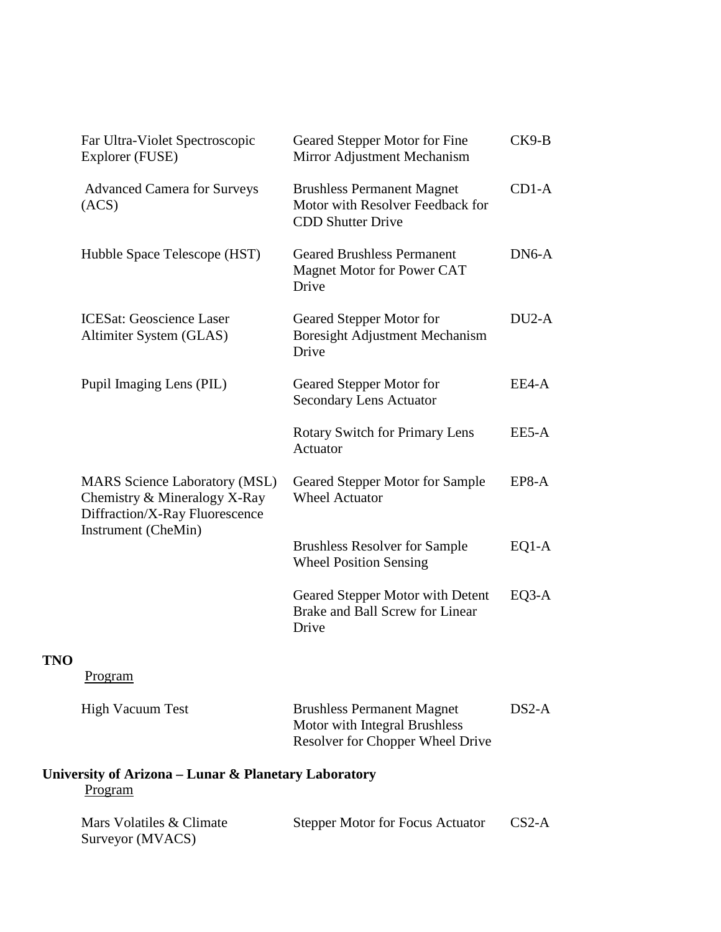|     | Far Ultra-Violet Spectroscopic<br>Explorer (FUSE)                                                      | Geared Stepper Motor for Fine<br>Mirror Adjustment Mechanism                                           | $CK9-B$ |
|-----|--------------------------------------------------------------------------------------------------------|--------------------------------------------------------------------------------------------------------|---------|
|     | <b>Advanced Camera for Surveys</b><br>(ACS)                                                            | <b>Brushless Permanent Magnet</b><br>Motor with Resolver Feedback for<br><b>CDD Shutter Drive</b>      | $CD1-A$ |
|     | Hubble Space Telescope (HST)                                                                           | <b>Geared Brushless Permanent</b><br>Magnet Motor for Power CAT<br>Drive                               | DN6-A   |
|     | <b>ICESat: Geoscience Laser</b><br>Altimiter System (GLAS)                                             | Geared Stepper Motor for<br>Boresight Adjustment Mechanism<br>Drive                                    | $DU2-A$ |
|     | Pupil Imaging Lens (PIL)                                                                               | Geared Stepper Motor for<br><b>Secondary Lens Actuator</b>                                             | EE4-A   |
|     |                                                                                                        | <b>Rotary Switch for Primary Lens</b><br>Actuator                                                      | EE5-A   |
|     | <b>MARS</b> Science Laboratory (MSL)<br>Chemistry & Mineralogy X-Ray<br>Diffraction/X-Ray Fluorescence | Geared Stepper Motor for Sample<br><b>Wheel Actuator</b>                                               | $EP8-A$ |
|     | Instrument (CheMin)                                                                                    | <b>Brushless Resolver for Sample</b><br><b>Wheel Position Sensing</b>                                  | $EQ1-A$ |
|     |                                                                                                        | Geared Stepper Motor with Detent<br>Brake and Ball Screw for Linear<br>Drive                           | EQ3-A   |
| TNO | Program                                                                                                |                                                                                                        |         |
|     | <b>High Vacuum Test</b>                                                                                | <b>Brushless Permanent Magnet</b><br>Motor with Integral Brushless<br>Resolver for Chopper Wheel Drive | $DS2-A$ |
|     | University of Arizona – Lunar & Planetary Laboratory<br>Program                                        |                                                                                                        |         |
|     | Mars Volatiles & Climate<br>Surveyor (MVACS)                                                           | <b>Stepper Motor for Focus Actuator</b>                                                                | $CS2-A$ |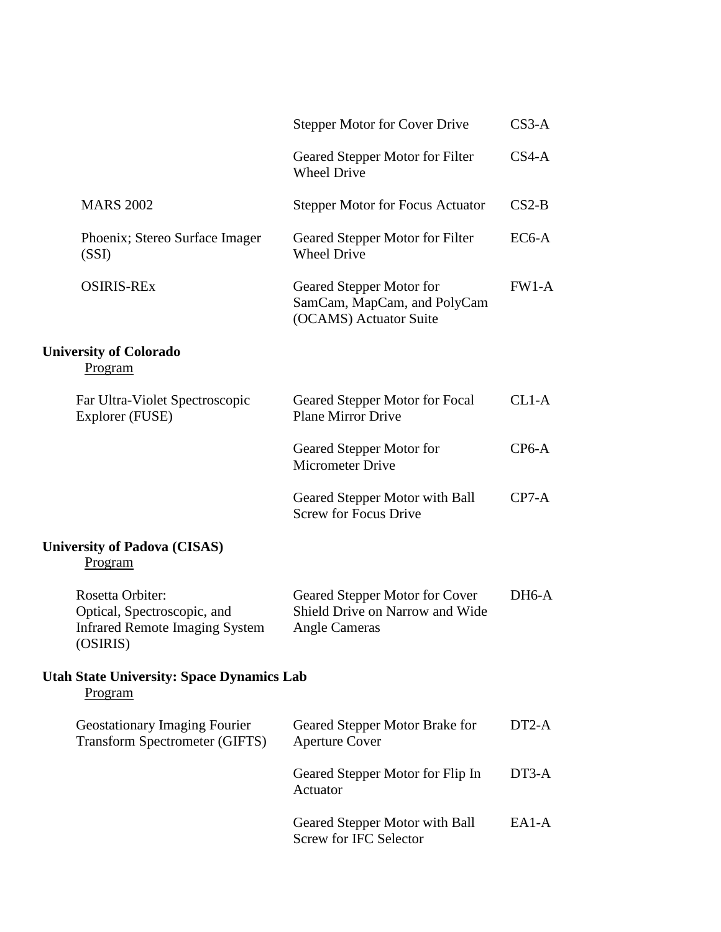|                                                                                                      | <b>Stepper Motor for Cover Drive</b>                                               | $CS3-A$ |
|------------------------------------------------------------------------------------------------------|------------------------------------------------------------------------------------|---------|
|                                                                                                      | Geared Stepper Motor for Filter<br><b>Wheel Drive</b>                              | $CS4-A$ |
| <b>MARS 2002</b>                                                                                     | <b>Stepper Motor for Focus Actuator</b>                                            | $CS2-B$ |
| Phoenix; Stereo Surface Imager<br>(SSI)                                                              | Geared Stepper Motor for Filter<br><b>Wheel Drive</b>                              | $EC6-A$ |
| <b>OSIRIS-REX</b>                                                                                    | Geared Stepper Motor for<br>SamCam, MapCam, and PolyCam<br>(OCAMS) Actuator Suite  | $FW1-A$ |
| <b>University of Colorado</b><br><u>Program</u>                                                      |                                                                                    |         |
| Far Ultra-Violet Spectroscopic<br>Explorer (FUSE)                                                    | Geared Stepper Motor for Focal<br><b>Plane Mirror Drive</b>                        | $CL1-A$ |
|                                                                                                      | Geared Stepper Motor for<br><b>Micrometer Drive</b>                                | $CP6-A$ |
|                                                                                                      | Geared Stepper Motor with Ball<br><b>Screw for Focus Drive</b>                     | $CP7-A$ |
| <b>University of Padova (CISAS)</b><br>Program                                                       |                                                                                    |         |
| Rosetta Orbiter:<br>Optical, Spectroscopic, and<br><b>Infrared Remote Imaging System</b><br>(OSIRIS) | Geared Stepper Motor for Cover<br>Shield Drive on Narrow and Wide<br>Angle Cameras | DH6-A   |
| <b>Utah State University: Space Dynamics Lab</b><br>Program                                          |                                                                                    |         |
| <b>Geostationary Imaging Fourier</b><br><b>Transform Spectrometer (GIFTS)</b>                        | Geared Stepper Motor Brake for<br><b>Aperture Cover</b>                            | $DT2-A$ |
|                                                                                                      | Geared Stepper Motor for Flip In<br>Actuator                                       | DT3-A   |
|                                                                                                      | Geared Stepper Motor with Ball<br><b>Screw for IFC Selector</b>                    | EA1-A   |
|                                                                                                      |                                                                                    |         |